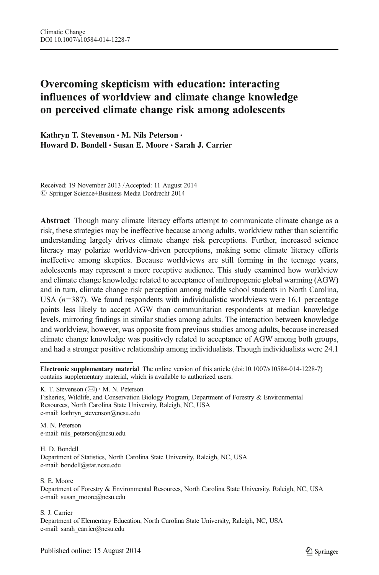# Overcoming skepticism with education: interacting influences of worldview and climate change knowledge on perceived climate change risk among adolescents

Kathryn T. Stevenson · M. Nils Peterson · Howard D. Bondell · Susan E. Moore · Sarah J. Carrier

Received: 19 November 2013 /Accepted: 11 August 2014  $\oslash$  Springer Science+Business Media Dordrecht 2014

Abstract Though many climate literacy efforts attempt to communicate climate change as a risk, these strategies may be ineffective because among adults, worldview rather than scientific understanding largely drives climate change risk perceptions. Further, increased science literacy may polarize worldview-driven perceptions, making some climate literacy efforts ineffective among skeptics. Because worldviews are still forming in the teenage years, adolescents may represent a more receptive audience. This study examined how worldview and climate change knowledge related to acceptance of anthropogenic global warming (AGW) and in turn, climate change risk perception among middle school students in North Carolina, USA  $(n=387)$ . We found respondents with individualistic worldviews were 16.1 percentage points less likely to accept AGW than communitarian respondents at median knowledge levels, mirroring findings in similar studies among adults. The interaction between knowledge and worldview, however, was opposite from previous studies among adults, because increased climate change knowledge was positively related to acceptance of AGW among both groups, and had a stronger positive relationship among individualists. Though individualists were 24.1

K. T. Stevenson  $(\boxtimes) \cdot M$ . N. Peterson

M. N. Peterson e-mail: nils peterson@ncsu.edu

H. D. Bondell Department of Statistics, North Carolina State University, Raleigh, NC, USA e-mail: bondell@stat.ncsu.edu

S. E. Moore

Department of Forestry & Environmental Resources, North Carolina State University, Raleigh, NC, USA e-mail: susan\_moore@ncsu.edu

#### S. J. Carrier

Department of Elementary Education, North Carolina State University, Raleigh, NC, USA e-mail: sarah\_carrier@ncsu.edu

Electronic supplementary material The online version of this article (doi:[10.1007/s10584-014-1228-7\)](http://dx.doi.org/10.1007/s10584-014-1228-7) contains supplementary material, which is available to authorized users.

Fisheries, Wildlife, and Conservation Biology Program, Department of Forestry & Environmental Resources, North Carolina State University, Raleigh, NC, USA e-mail: kathryn\_stevenson@ncsu.edu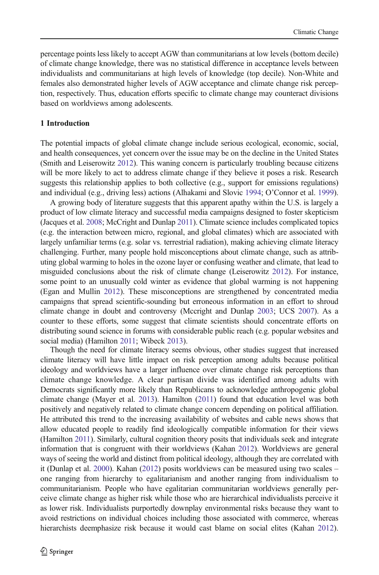percentage points less likely to accept AGW than communitarians at low levels (bottom decile) of climate change knowledge, there was no statistical difference in acceptance levels between individualists and communitarians at high levels of knowledge (top decile). Non-White and females also demonstrated higher levels of AGW acceptance and climate change risk perception, respectively. Thus, education efforts specific to climate change may counteract divisions based on worldviews among adolescents.

## 1 Introduction

The potential impacts of global climate change include serious ecological, economic, social, and health consequences, yet concern over the issue may be on the decline in the United States (Smith and Leiserowitz [2012\)](#page-11-0). This waning concern is particularly troubling because citizens will be more likely to act to address climate change if they believe it poses a risk. Research suggests this relationship applies to both collective (e.g., support for emissions regulations) and individual (e.g., driving less) actions (Alhakami and Slovic [1994;](#page-9-0) O'Connor et al. [1999](#page-11-0)).

A growing body of literature suggests that this apparent apathy within the U.S. is largely a product of low climate literacy and successful media campaigns designed to foster skepticism (Jacques et al. [2008](#page-10-0); McCright and Dunlap [2011\)](#page-10-0). Climate science includes complicated topics (e.g. the interaction between micro, regional, and global climates) which are associated with largely unfamiliar terms (e.g. solar vs. terrestrial radiation), making achieving climate literacy challenging. Further, many people hold misconceptions about climate change, such as attributing global warming to holes in the ozone layer or confusing weather and climate, that lead to misguided conclusions about the risk of climate change (Leiserowitz [2012](#page-10-0)). For instance, some point to an unusually cold winter as evidence that global warming is not happening (Egan and Mullin [2012](#page-10-0)). These misconceptions are strengthened by concentrated media campaigns that spread scientific-sounding but erroneous information in an effort to shroud climate change in doubt and controversy (Mccright and Dunlap [2003](#page-10-0); UCS [2007\)](#page-11-0). As a counter to these efforts, some suggest that climate scientists should concentrate efforts on distributing sound science in forums with considerable public reach (e.g. popular websites and social media) (Hamilton [2011;](#page-10-0) Wibeck [2013](#page-11-0)).

Though the need for climate literacy seems obvious, other studies suggest that increased climate literacy will have little impact on risk perception among adults because political ideology and worldviews have a larger influence over climate change risk perceptions than climate change knowledge. A clear partisan divide was identified among adults with Democrats significantly more likely than Republicans to acknowledge anthropogenic global climate change (Mayer et al. [2013](#page-10-0)). Hamilton ([2011\)](#page-10-0) found that education level was both positively and negatively related to climate change concern depending on political affiliation. He attributed this trend to the increasing availability of websites and cable news shows that allow educated people to readily find ideologically compatible information for their views (Hamilton [2011\)](#page-10-0). Similarly, cultural cognition theory posits that individuals seek and integrate information that is congruent with their worldviews (Kahan [2012\)](#page-10-0). Worldviews are general ways of seeing the world and distinct from political ideology, although they are correlated with it (Dunlap et al. [2000\)](#page-10-0). Kahan ([2012](#page-10-0)) posits worldviews can be measured using two scales – one ranging from hierarchy to egalitarianism and another ranging from individualism to communitarianism. People who have egalitarian communitarian worldviews generally perceive climate change as higher risk while those who are hierarchical individualists perceive it as lower risk. Individualists purportedly downplay environmental risks because they want to avoid restrictions on individual choices including those associated with commerce, whereas hierarchists deemphasize risk because it would cast blame on social elites (Kahan [2012](#page-10-0)).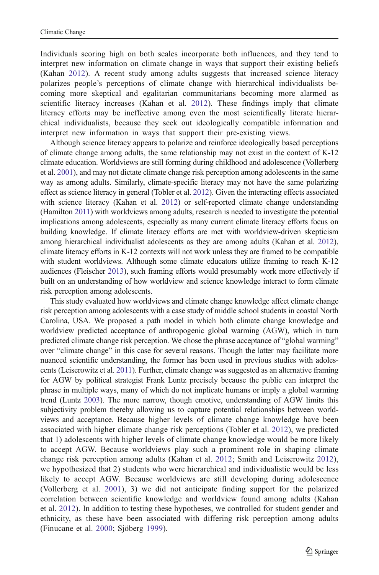Individuals scoring high on both scales incorporate both influences, and they tend to interpret new information on climate change in ways that support their existing beliefs (Kahan [2012](#page-10-0)). A recent study among adults suggests that increased science literacy polarizes people's perceptions of climate change with hierarchical individualists becoming more skeptical and egalitarian communitarians becoming more alarmed as scientific literacy increases (Kahan et al. [2012](#page-10-0)). These findings imply that climate literacy efforts may be ineffective among even the most scientifically literate hierarchical individualists, because they seek out ideologically compatible information and interpret new information in ways that support their pre-existing views.

Although science literacy appears to polarize and reinforce ideologically based perceptions of climate change among adults, the same relationship may not exist in the context of K-12 climate education. Worldviews are still forming during childhood and adolescence (Vollerberg et al. [2001\)](#page-11-0), and may not dictate climate change risk perception among adolescents in the same way as among adults. Similarly, climate-specific literacy may not have the same polarizing effect as science literacy in general (Tobler et al. [2012\)](#page-11-0). Given the interacting effects associated with science literacy (Kahan et al. [2012](#page-10-0)) or self-reported climate change understanding (Hamilton [2011\)](#page-10-0) with worldviews among adults, research is needed to investigate the potential implications among adolescents, especially as many current climate literacy efforts focus on building knowledge. If climate literacy efforts are met with worldview-driven skepticism among hierarchical individualist adolescents as they are among adults (Kahan et al. [2012](#page-10-0)), climate literacy efforts in K-12 contexts will not work unless they are framed to be compatible with student worldviews. Although some climate educators utilize framing to reach K-12 audiences (Fleischer [2013\)](#page-10-0), such framing efforts would presumably work more effectively if built on an understanding of how worldview and science knowledge interact to form climate risk perception among adolescents.

This study evaluated how worldviews and climate change knowledge affect climate change risk perception among adolescents with a case study of middle school students in coastal North Carolina, USA. We proposed a path model in which both climate change knowledge and worldview predicted acceptance of anthropogenic global warming (AGW), which in turn predicted climate change risk perception. We chose the phrase acceptance of "global warming" over "climate change" in this case for several reasons. Though the latter may facilitate more nuanced scientific understanding, the former has been used in previous studies with adolescents (Leiserowitz et al. [2011](#page-10-0)). Further, climate change was suggested as an alternative framing for AGW by political strategist Frank Luntz precisely because the public can interpret the phrase in multiple ways, many of which do not implicate humans or imply a global warming trend (Luntz [2003\)](#page-10-0). The more narrow, though emotive, understanding of AGW limits this subjectivity problem thereby allowing us to capture potential relationships between worldviews and acceptance. Because higher levels of climate change knowledge have been associated with higher climate change risk perceptions (Tobler et al. [2012](#page-11-0)), we predicted that 1) adolescents with higher levels of climate change knowledge would be more likely to accept AGW. Because worldviews play such a prominent role in shaping climate change risk perception among adults (Kahan et al. [2012](#page-10-0); Smith and Leiserowitz [2012](#page-11-0)), we hypothesized that 2) students who were hierarchical and individualistic would be less likely to accept AGW. Because worldviews are still developing during adolescence (Vollerberg et al. [2001\)](#page-11-0), 3) we did not anticipate finding support for the polarized correlation between scientific knowledge and worldview found among adults (Kahan et al. [2012\)](#page-10-0). In addition to testing these hypotheses, we controlled for student gender and ethnicity, as these have been associated with differing risk perception among adults (Finucane et al. [2000;](#page-10-0) Sjöberg [1999](#page-11-0)).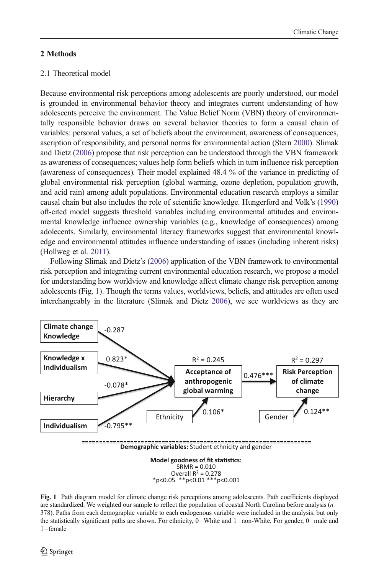## <span id="page-3-0"></span>2 Methods

# 2.1 Theoretical model

Because environmental risk perceptions among adolescents are poorly understood, our model is grounded in environmental behavior theory and integrates current understanding of how adolescents perceive the environment. The Value Belief Norm (VBN) theory of environmentally responsible behavior draws on several behavior theories to form a causal chain of variables: personal values, a set of beliefs about the environment, awareness of consequences, ascription of responsibility, and personal norms for environmental action (Stern [2000\)](#page-11-0). Slimak and Dietz ([2006](#page-11-0)) propose that risk perception can be understood through the VBN framework as awareness of consequences; values help form beliefs which in turn influence risk perception (awareness of consequences). Their model explained 48.4 % of the variance in predicting of global environmental risk perception (global warming, ozone depletion, population growth, and acid rain) among adult populations. Environmental education research employs a similar causal chain but also includes the role of scientific knowledge. Hungerford and Volk's [\(1990\)](#page-10-0) oft-cited model suggests threshold variables including environmental attitudes and environmental knowledge influence ownership variables (e.g., knowledge of consequences) among adolecents. Similarly, environmental literacy frameworks suggest that environmental knowledge and environmental attitudes influence understanding of issues (including inherent risks) (Hollweg et al. [2011](#page-10-0)).

Following Slimak and Dietz's [\(2006\)](#page-11-0) application of the VBN framework to environmental risk perception and integrating current environmental education research, we propose a model for understanding how worldview and knowledge affect climate change risk perception among adolescents (Fig. 1). Though the terms values, worldviews, beliefs, and attitudes are often used interchangeably in the literature (Slimak and Dietz [2006\)](#page-11-0), we see worldviews as they are



Fig. 1 Path diagram model for climate change risk perceptions among adolescents. Path coefficients displayed are standardized. We weighted our sample to reflect the population of coastal North Carolina before analysis  $(n=$ 378). Paths from each demographic variable to each endogenous variable were included in the analysis, but only the statistically significant paths are shown. For ethnicity, 0=White and 1=non-White. For gender, 0=male and  $1$ =female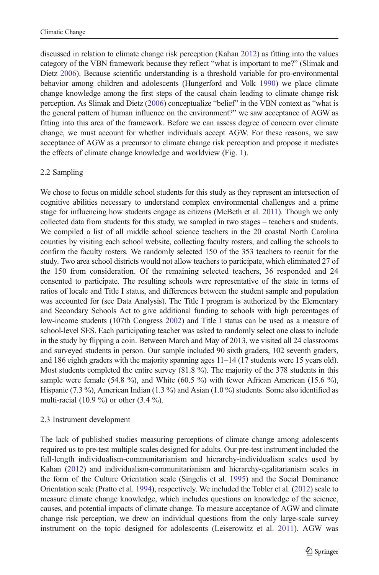discussed in relation to climate change risk perception (Kahan [2012\)](#page-10-0) as fitting into the values category of the VBN framework because they reflect "what is important to me?" (Slimak and Dietz [2006](#page-11-0)). Because scientific understanding is a threshold variable for pro-environmental behavior among children and adolescents (Hungerford and Volk [1990\)](#page-10-0) we place climate change knowledge among the first steps of the causal chain leading to climate change risk perception. As Slimak and Dietz [\(2006\)](#page-11-0) conceptualize "belief" in the VBN context as "what is the general pattern of human influence on the environment?" we saw acceptance of AGW as fitting into this area of the framework. Before we can assess degree of concern over climate change, we must account for whether individuals accept AGW. For these reasons, we saw acceptance of AGW as a precursor to climate change risk perception and propose it mediates the effects of climate change knowledge and worldview (Fig. [1\)](#page-3-0).

# 2.2 Sampling

We chose to focus on middle school students for this study as they represent an intersection of cognitive abilities necessary to understand complex environmental challenges and a prime stage for influencing how students engage as citizens (McBeth et al. [2011\)](#page-10-0). Though we only collected data from students for this study, we sampled in two stages – teachers and students. We compiled a list of all middle school science teachers in the 20 coastal North Carolina counties by visiting each school website, collecting faculty rosters, and calling the schools to confirm the faculty rosters. We randomly selected 150 of the 353 teachers to recruit for the study. Two area school districts would not allow teachers to participate, which eliminated 27 of the 150 from consideration. Of the remaining selected teachers, 36 responded and 24 consented to participate. The resulting schools were representative of the state in terms of ratios of locale and Title I status, and differences between the student sample and population was accounted for (see Data Analysis). The Title I program is authorized by the Elementary and Secondary Schools Act to give additional funding to schools with high percentages of low-income students (107th Congress [2002\)](#page-9-0) and Title I status can be used as a measure of school-level SES. Each participating teacher was asked to randomly select one class to include in the study by flipping a coin. Between March and May of 2013, we visited all 24 classrooms and surveyed students in person. Our sample included 90 sixth graders, 102 seventh graders, and 186 eighth graders with the majority spanning ages 11–14 (17 students were 15 years old). Most students completed the entire survey (81.8 %). The majority of the 378 students in this sample were female (54.8 %), and White (60.5 %) with fewer African American (15.6 %), Hispanic (7.3 %), American Indian (1.3 %) and Asian (1.0 %) students. Some also identified as multi-racial (10.9 %) or other (3.4 %).

## 2.3 Instrument development

The lack of published studies measuring perceptions of climate change among adolescents required us to pre-test multiple scales designed for adults. Our pre-test instrument included the full-length individualism-communitarianism and hierarchy-individualism scales used by Kahan [\(2012\)](#page-10-0) and individualism-communitarianism and hierarchy-egalitarianism scales in the form of the Culture Orientation scale (Singelis et al. [1995\)](#page-11-0) and the Social Dominance Orientation scale (Pratto et al. [1994\)](#page-11-0), respectively. We included the Tobler et al. [\(2012\)](#page-11-0) scale to measure climate change knowledge, which includes questions on knowledge of the science, causes, and potential impacts of climate change. To measure acceptance of AGW and climate change risk perception, we drew on individual questions from the only large-scale survey instrument on the topic designed for adolescents (Leiserowitz et al. [2011](#page-10-0)). AGW was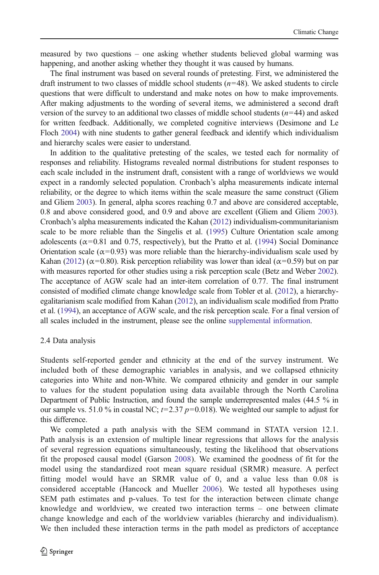measured by two questions – one asking whether students believed global warming was happening, and another asking whether they thought it was caused by humans.

The final instrument was based on several rounds of pretesting. First, we administered the draft instrument to two classes of middle school students  $(n=48)$ . We asked students to circle questions that were difficult to understand and make notes on how to make improvements. After making adjustments to the wording of several items, we administered a second draft version of the survey to an additional two classes of middle school students  $(n=44)$  and asked for written feedback. Additionally, we completed cognitive interviews (Desimone and Le Floch [2004](#page-10-0)) with nine students to gather general feedback and identify which individualism and hierarchy scales were easier to understand.

In addition to the qualitative pretesting of the scales, we tested each for normality of responses and reliability. Histograms revealed normal distributions for student responses to each scale included in the instrument draft, consistent with a range of worldviews we would expect in a randomly selected population. Cronbach's alpha measurements indicate internal reliability, or the degree to which items within the scale measure the same construct (Gliem and Gliem [2003](#page-10-0)). In general, alpha scores reaching 0.7 and above are considered acceptable, 0.8 and above considered good, and 0.9 and above are excellent (Gliem and Gliem [2003](#page-10-0)). Cronbach's alpha measurements indicated the Kahan ([2012](#page-10-0)) individualism-communitarianism scale to be more reliable than the Singelis et al. [\(1995\)](#page-11-0) Culture Orientation scale among adolescents ( $\alpha$ =0.81 and 0.75, respectively), but the Pratto et al. [\(1994\)](#page-11-0) Social Dominance Orientation scale ( $\alpha$ =0.93) was more reliable than the hierarchy-individualism scale used by Kahan [\(2012\)](#page-10-0) ( $\alpha$ =0.80). Risk perception reliability was lower than ideal ( $\alpha$ =0.59) but on par with measures reported for other studies using a risk perception scale (Betz and Weber [2002](#page-9-0)). The acceptance of AGW scale had an inter-item correlation of 0.77. The final instrument consisted of modified climate change knowledge scale from Tobler et al. [\(2012](#page-11-0)), a hierarchyegalitarianism scale modified from Kahan ([2012](#page-10-0)), an individualism scale modified from Pratto et al. ([1994](#page-11-0)), an acceptance of AGW scale, and the risk perception scale. For a final version of all scales included in the instrument, please see the online supplemental information.

### 2.4 Data analysis

Students self-reported gender and ethnicity at the end of the survey instrument. We included both of these demographic variables in analysis, and we collapsed ethnicity categories into White and non-White. We compared ethnicity and gender in our sample to values for the student population using data available through the North Carolina Department of Public Instruction, and found the sample underrepresented males (44.5 % in our sample vs. 51.0 % in coastal NC;  $t=2.37 p=0.018$ ). We weighted our sample to adjust for this difference.

We completed a path analysis with the SEM command in STATA version 12.1. Path analysis is an extension of multiple linear regressions that allows for the analysis of several regression equations simultaneously, testing the likelihood that observations fit the proposed causal model (Garson [2008\)](#page-10-0). We examined the goodness of fit for the model using the standardized root mean square residual (SRMR) measure. A perfect fitting model would have an SRMR value of 0, and a value less than 0.08 is considered acceptable (Hancock and Mueller [2006](#page-10-0)). We tested all hypotheses using SEM path estimates and p-values. To test for the interaction between climate change knowledge and worldview, we created two interaction terms – one between climate change knowledge and each of the worldview variables (hierarchy and individualism). We then included these interaction terms in the path model as predictors of acceptance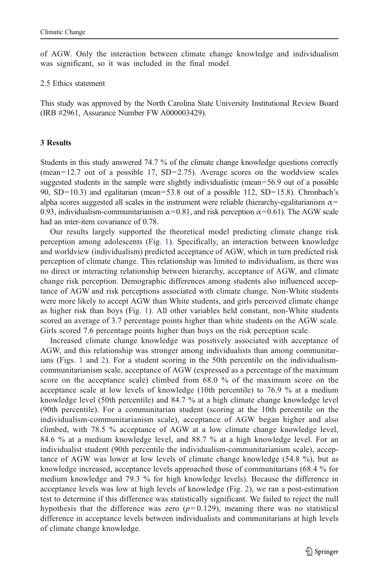of AGW. Only the interaction between climate change knowledge and individualism was significant, so it was included in the final model.

#### 2.5 Ethics statement

This study was approved by the North Carolina State University Institutional Review Board (IRB #2961, Assurance Number FW A000003429).

## 3 Results

Students in this study answered 74.7 % of the climate change knowledge questions correctly (mean=12.7 out of a possible 17, SD=2.75). Average scores on the worldview scales suggested students in the sample were slightly individualistic (mean=56.9 out of a possible 90, SD=10.3) and egalitarian (mean=53.8 out of a possible 112, SD=15.8). Chronbach's alpha scores suggested all scales in the instrument were reliable (hierarchy-egalitarianism  $\alpha$ = 0.93, individualism-communitarianism  $\alpha$  = 0.81, and risk perception  $\alpha$  = 0.61). The AGW scale had an inter-item covariance of 0.78.

Our results largely supported the theoretical model predicting climate change risk perception among adolescents (Fig. [1](#page-3-0)). Specifically, an interaction between knowledge and worldview (individualism) predicted acceptance of AGW, which in turn predicted risk perception of climate change. This relationship was limited to individualism, as there was no direct or interacting relationship between hierarchy, acceptance of AGW, and climate change risk perception. Demographic differences among students also influenced acceptance of AGW and risk perceptions associated with climate change. Non-White students were more likely to accept AGW than White students, and girls perceived climate change as higher risk than boys (Fig. [1\)](#page-3-0). All other variables held constant, non-White students scored an average of 3.7 percentage points higher than white students on the AGW scale. Girls scored 7.6 percentage points higher than boys on the risk perception scale.

Increased climate change knowledge was positively associated with acceptance of AGW, and this relationship was stronger among individualists than among communitarians (Figs. [1](#page-3-0) and [2](#page-7-0)). For a student scoring in the 50th percentile on the individualismcommunitarianism scale, acceptance of AGW (expressed as a percentage of the maximum score on the acceptance scale) climbed from 68.0 % of the maximum score on the acceptance scale at low levels of knowledge (10th percentile) to 76.9 % at a medium knowledge level (50th percentile) and 84.7 % at a high climate change knowledge level (90th percentile). For a communitarian student (scoring at the 10th percentile on the individualism-communitarianism scale), acceptance of AGW began higher and also climbed, with 78.5 % acceptance of AGW at a low climate change knowledge level, 84.6 % at a medium knowledge level, and 88.7 % at a high knowledge level. For an individualist student (90th percentile the individualism-communitarianism scale), acceptance of AGW was lower at low levels of climate change knowledge (54.8 %), but as knowledge increased, acceptance levels approached those of communitarians (68.4 % for medium knowledge and 79.3 % for high knowledge levels). Because the difference in acceptance levels was low at high levels of knowledge (Fig. [2\)](#page-7-0), we ran a post-estimation test to determine if this difference was statistically significant. We failed to reject the null hypothesis that the difference was zero  $(p=0.129)$ , meaning there was no statistical difference in acceptance levels between individualists and communitarians at high levels of climate change knowledge.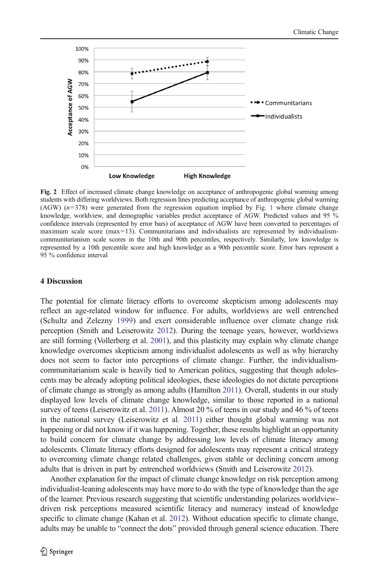<span id="page-7-0"></span>

Fig. 2 Effect of increased climate change knowledge on acceptance of anthropogenic global warming among students with differing worldviews. Both regression lines predicting acceptance of anthropogenic global warming  $(AGW)$   $(n=378)$  were generated from the regression equation implied by Fig. [1](#page-3-0) where climate change knowledge, worldview, and demographic variables predict acceptance of AGW. Predicted values and 95 % confidence intervals (represented by error bars) of acceptance of AGW have been converted to percentages of maximum scale score (max=13). Communitarians and individualists are represented by individualismcommunitarianism scale scores in the 10th and 90th percentiles, respectively. Similarly, low knowledge is represented by a 10th percentile score and high knowledge as a 90th percentile score. Error bars represent a 95 % confidence interval

## 4 Discussion

The potential for climate literacy efforts to overcome skepticism among adolescents may reflect an age-related window for influence. For adults, worldviews are well entrenched (Schultz and Zelezny [1999](#page-11-0)) and exert considerable influence over climate change risk perception (Smith and Leiserowitz [2012\)](#page-11-0). During the teenage years, however, worldviews are still forming (Vollerberg et al. [2001](#page-11-0)), and this plasticity may explain why climate change knowledge overcomes skepticism among individualist adolescents as well as why hierarchy does not seem to factor into perceptions of climate change. Further, the individualismcommunitarianism scale is heavily tied to American politics, suggesting that though adolescents may be already adopting political ideologies, these ideologies do not dictate perceptions of climate change as strongly as among adults (Hamilton [2011\)](#page-10-0). Overall, students in our study displayed low levels of climate change knowledge, similar to those reported in a national survey of teens (Leiserowitz et al. [2011\)](#page-10-0). Almost 20 % of teens in our study and 46 % of teens in the national survey (Leiserowitz et al. [2011](#page-10-0)) either thought global warming was not happening or did not know if it was happening. Together, these results highlight an opportunity to build concern for climate change by addressing low levels of climate literacy among adolescents. Climate literacy efforts designed for adolescents may represent a critical strategy to overcoming climate change related challenges, given stable or declining concern among adults that is driven in part by entrenched worldviews (Smith and Leiserowitz [2012](#page-11-0)).

Another explanation for the impact of climate change knowledge on risk perception among individualist-leaning adolescents may have more to do with the type of knowledge than the age of the learner. Previous research suggesting that scientific understanding polarizes worldviewdriven risk perceptions measured scientific literacy and numeracy instead of knowledge specific to climate change (Kahan et al. [2012](#page-10-0)). Without education specific to climate change, adults may be unable to "connect the dots" provided through general science education. There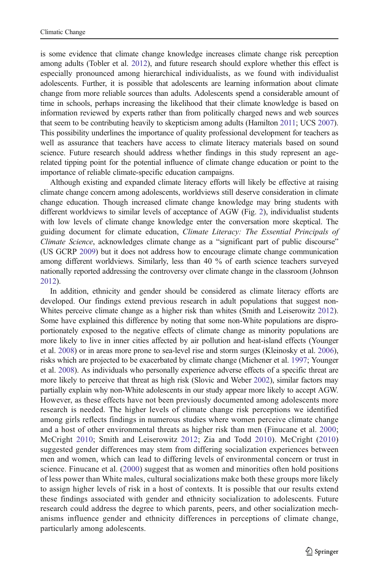is some evidence that climate change knowledge increases climate change risk perception among adults (Tobler et al. [2012\)](#page-11-0), and future research should explore whether this effect is especially pronounced among hierarchical individualists, as we found with individualist adolescents. Further, it is possible that adolescents are learning information about climate change from more reliable sources than adults. Adolescents spend a considerable amount of time in schools, perhaps increasing the likelihood that their climate knowledge is based on information reviewed by experts rather than from politically charged news and web sources that seem to be contributing heavily to skepticism among adults (Hamilton [2011](#page-10-0); UCS [2007](#page-11-0)). This possibility underlines the importance of quality professional development for teachers as well as assurance that teachers have access to climate literacy materials based on sound science. Future research should address whether findings in this study represent an agerelated tipping point for the potential influence of climate change education or point to the importance of reliable climate-specific education campaigns.

Although existing and expanded climate literacy efforts will likely be effective at raising climate change concern among adolescents, worldviews still deserve consideration in climate change education. Though increased climate change knowledge may bring students with different worldviews to similar levels of acceptance of AGW (Fig. [2](#page-7-0)), individualist students with low levels of climate change knowledge enter the conversation more skeptical. The guiding document for climate education, Climate Literacy: The Essential Principals of Climate Science, acknowledges climate change as a "significant part of public discourse" (US GCRP [2009\)](#page-11-0) but it does not address how to encourage climate change communication among different worldviews. Similarly, less than 40 % of earth science teachers surveyed nationally reported addressing the controversy over climate change in the classroom (Johnson [2012](#page-10-0)).

In addition, ethnicity and gender should be considered as climate literacy efforts are developed. Our findings extend previous research in adult populations that suggest non-Whites perceive climate change as a higher risk than whites (Smith and Leiserowitz [2012](#page-11-0)). Some have explained this difference by noting that some non-White populations are disproportionately exposed to the negative effects of climate change as minority populations are more likely to live in inner cities affected by air pollution and heat-island effects (Younger et al. [2008](#page-11-0)) or in areas more prone to sea-level rise and storm surges (Kleinosky et al. [2006](#page-10-0)), risks which are projected to be exacerbated by climate change (Michener et al. [1997](#page-10-0); Younger et al. [2008](#page-11-0)). As individuals who personally experience adverse effects of a specific threat are more likely to perceive that threat as high risk (Slovic and Weber [2002\)](#page-11-0), similar factors may partially explain why non-White adolescents in our study appear more likely to accept AGW. However, as these effects have not been previously documented among adolescents more research is needed. The higher levels of climate change risk perceptions we identified among girls reflects findings in numerous studies where women perceive climate change and a host of other environmental threats as higher risk than men (Finucane et al. [2000](#page-10-0); McCright [2010;](#page-10-0) Smith and Leiserowitz [2012](#page-11-0); Zia and Todd [2010](#page-11-0)). McCright ([2010\)](#page-10-0) suggested gender differences may stem from differing socialization experiences between men and women, which can lead to differing levels of environmental concern or trust in science. Finucane et al. ([2000\)](#page-10-0) suggest that as women and minorities often hold positions of less power than White males, cultural socializations make both these groups more likely to assign higher levels of risk in a host of contexts. It is possible that our results extend these findings associated with gender and ethnicity socialization to adolescents. Future research could address the degree to which parents, peers, and other socialization mechanisms influence gender and ethnicity differences in perceptions of climate change, particularly among adolescents.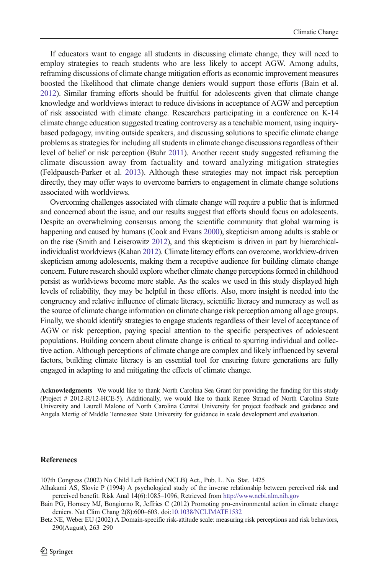<span id="page-9-0"></span>If educators want to engage all students in discussing climate change, they will need to employ strategies to reach students who are less likely to accept AGW. Among adults, reframing discussions of climate change mitigation efforts as economic improvement measures boosted the likelihood that climate change deniers would support those efforts (Bain et al. 2012). Similar framing efforts should be fruitful for adolescents given that climate change knowledge and worldviews interact to reduce divisions in acceptance of AGW and perception of risk associated with climate change. Researchers participating in a conference on K-14 climate change education suggested treating controversy as a teachable moment, using inquirybased pedagogy, inviting outside speakers, and discussing solutions to specific climate change problems as strategies for including all students in climate change discussions regardless of their level of belief or risk perception (Buhr [2011\)](#page-10-0). Another recent study suggested reframing the climate discussion away from factuality and toward analyzing mitigation strategies (Feldpausch-Parker et al. [2013\)](#page-10-0). Although these strategies may not impact risk perception directly, they may offer ways to overcome barriers to engagement in climate change solutions associated with worldviews.

Overcoming challenges associated with climate change will require a public that is informed and concerned about the issue, and our results suggest that efforts should focus on adolescents. Despite an overwhelming consensus among the scientific community that global warming is happening and caused by humans (Cook and Evans [2000\)](#page-10-0), skepticism among adults is stable or on the rise (Smith and Leiserowitz [2012](#page-11-0)), and this skepticism is driven in part by hierarchicalindividualist worldviews (Kahan [2012\)](#page-10-0). Climate literacy efforts can overcome, worldview-driven skepticism among adolescents, making them a receptive audience for building climate change concern. Future research should explore whether climate change perceptions formed in childhood persist as worldviews become more stable. As the scales we used in this study displayed high levels of reliability, they may be helpful in these efforts. Also, more insight is needed into the congruency and relative influence of climate literacy, scientific literacy and numeracy as well as the source of climate change information on climate change risk perception among all age groups. Finally, we should identify strategies to engage students regardless of their level of acceptance of AGW or risk perception, paying special attention to the specific perspectives of adolescent populations. Building concern about climate change is critical to spurring individual and collective action. Although perceptions of climate change are complex and likely influenced by several factors, building climate literacy is an essential tool for ensuring future generations are fully engaged in adapting to and mitigating the effects of climate change.

Acknowledgments We would like to thank North Carolina Sea Grant for providing the funding for this study (Project # 2012-R/12-HCE-5). Additionally, we would like to thank Renee Strnad of North Carolina State University and Laurell Malone of North Carolina Central University for project feedback and guidance and Angela Mertig of Middle Tennessee State University for guidance in scale development and evaluation.

#### **References**

107th Congress (2002) No Child Left Behind (NCLB) Act., Pub. L. No. Stat. 1425

Alhakami AS, Slovic P (1994) A psychological study of the inverse relationship between perceived risk and perceived benefit. Risk Anal 14(6):1085–1096, Retrieved from <http://www.ncbi.nlm.nih.gov>

Bain PG, Hornsey MJ, Bongiorno R, Jeffries C (2012) Promoting pro-environmental action in climate change deniers. Nat Clim Chang 2(8):600–603. doi:[10.1038/NCLIMATE1532](http://dx.doi.org/10.1038/NCLIMATE1532)

Betz NE, Weber EU (2002) A Domain-specific risk-attitude scale: measuring risk perceptions and risk behaviors, 290(August), 263–290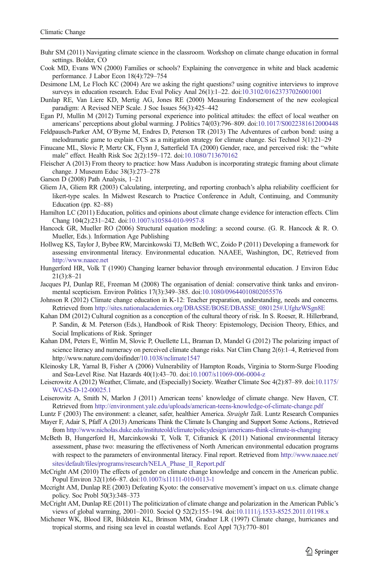- <span id="page-10-0"></span>Buhr SM (2011) Navigating climate science in the classroom. Workshop on climate change education in formal settings. Bolder, CO
- Cook MD, Evans WN (2000) Families or schools? Explaining the convergence in white and black academic performance. J Labor Econ 18(4):729–754
- Desimone LM, Le Floch KC (2004) Are we asking the right questions? using cognitive interviews to improve surveys in education research. Educ Eval Policy Anal 26(1):1–22. doi:[10.3102/01623737026001001](http://dx.doi.org/10.3102/01623737026001001)
- Dunlap RE, Van Liere KD, Mertig AG, Jones RE (2000) Measuring Endorsement of the new ecological paradigm: A Revised NEP Scale. J Soc Issues 56(3):425–442
- Egan PJ, Mullin M (2012) Turning personal experience into political attitudes: the effect of local weather on americans' perceptions about global warming. J Politics 74(03):796–809. doi[:10.1017/S0022381612000448](http://dx.doi.org/10.1017/S0022381612000448)
- Feldpausch-Parker AM, O'Byrne M, Endres D, Peterson TR (2013) The Adventures of carbon bond: using a melodramatic game to explain CCS as a mitigation strategy for climate change. Sci Technol 3(1):21–29
- Finucane ML, Slovic P, Mertz CK, Flynn J, Satterfield TA (2000) Gender, race, and perceived risk: the "white male" effect. Health Risk Soc 2(2):159–172. doi:[10.1080/713670162](http://dx.doi.org/10.1080/713670162)
- Fleischer A (2013) From theory to practice: how Mass Audubon is incorporating strategic framing about climate change. J Museum Educ 38(3):273–278
- Garson D (2008) Path Analysis, 1–21
- Gliem JA, Gliem RR (2003) Calculating, interpreting, and reporting cronbach's alpha reliability coefficient for likert-type scales. In Midwest Research to Practice Conference in Adult, Continuing, and Community Education (pp. 82–88)
- Hamilton LC (2011) Education, politics and opinions about climate change evidence for interaction effects. Clim Chang 104(2):231–242. doi[:10.1007/s10584-010-9957-8](http://dx.doi.org/10.1007/s10584-010-9957-8)
- Hancock GR, Mueller RO (2006) Structural equation modeling: a second course. (G. R. Hancock & R. O. Mueller, Eds.). Information Age Publishing
- Hollweg KS, Taylor J, Bybee RW, Marcinkowski TJ, McBeth WC, Zoido P (2011) Developing a framework for assessing environmental literacy. Environmental education. NAAEE, Washington, DC, Retrieved from [http://www.naaee.net](http://www.naaee.net/)
- Hungerford HR, Volk T (1990) Changing learner behavior through environmental education. J Environ Educ 21(3):8–21
- Jacques PJ, Dunlap RE, Freeman M (2008) The organisation of denial: conservative think tanks and environmental scepticism. Environ Politics 17(3):349–385. doi[:10.1080/09644010802055576](http://dx.doi.org/10.1080/09644010802055576)
- Johnson R (2012) Climate change education in K-12: Teacher preparation, understanding, needs and concerns. Retrieved from [http://sites.nationalacademies.org/DBASSE/BOSE/DBASSE\\_080125#.UfghzWSgn8E](http://sites.nationalacademies.org/DBASSE/BOSE/DBASSE_080125%20.UfghzWSgn8E)
- Kahan DM (2012) Cultural cognition as a conception of the cultural theory of risk. In S. Roeser, R. Hillerbrand, P. Sandin, & M. Peterson (Eds.), Handbook of Risk Theory: Epistemology, Decision Theory, Ethics, and Social Implications of Risk. Springer
- Kahan DM, Peters E, Wittlin M, Slovic P, Ouellette LL, Braman D, Mandel G (2012) The polarizing impact of science literacy and numeracy on perceived climate change risks. Nat Clim Chang 2(6):1–4, Retrieved from http://www.nature.com/doifinder[/10.1038/nclimate1547](http://dx.doi.org/10.1038/nclimate1547)
- Kleinosky LR, Yarnal B, Fisher A (2006) Vulnerability of Hampton Roads, Virginia to Storm-Surge Flooding and Sea-Level Rise. Nat Hazards 40(1):43–70. doi[:10.1007/s11069-006-0004-z](http://dx.doi.org/10.1007/s11069-006-0004-z)
- Leiserowitz A (2012) Weather, Climate, and (Especially) Society. Weather Climate Soc 4(2):87–89. doi:[10.1175/](http://dx.doi.org/10.1175/WCAS-D-12-00025.1) [WCAS-D-12-00025.1](http://dx.doi.org/10.1175/WCAS-D-12-00025.1)
- Leiserowitz A, Smith N, Marlon J (2011) American teens' knowledge of climate change. New Haven, CT. Retrieved from <http://environment.yale.edu/uploads/american-teens-knowledge-of-climate-change.pdf>
- Luntz F (2003) The environment: a cleaner, safer, healthier America. Straight Talk. Luntz Research Companies Mayer F, Adair S, Pfaff A (2013) Americans Think the Climate Is Changing and Support Some Actions., Retrieved from <http://www.nicholas.duke.edu/instituteold/climate/policydesign/americans-think-climate-is-changing>
- McBeth B, Hungerford H, Marcinkowski T, Volk T, Cifranick K (2011) National environmental literacy assessment, phase two: measuring the effectiveness of North American environmental education programs with respect to the parameters of environmental literacy. Final report. Retrieved from [http://www.naaee.net/](http://www.naaee.net/sites/default/files/programs/research/NELA_Phase_II_Report.pdf) [sites/default/files/programs/research/NELA\\_Phase\\_II\\_Report.pdf](http://www.naaee.net/sites/default/files/programs/research/NELA_Phase_II_Report.pdf)
- McCright AM (2010) The effects of gender on climate change knowledge and concern in the American public. Popul Environ 32(1):66–87. doi[:10.1007/s11111-010-0113-1](http://dx.doi.org/10.1007/s11111-010-0113-1)
- Mccright AM, Dunlap RE (2003) Defeating Kyoto: the conservative movement's impact on u.s. climate change policy. Soc Probl 50(3):348–373
- McCright AM, Dunlap RE (2011) The politicization of climate change and polarization in the American Public's views of global warming, 2001–2010. Sociol Q 52(2):155–194. doi:[10.1111/j.1533-8525.2011.01198.x](http://dx.doi.org/10.1111/j.1533-8525.2011.01198.x)
- Michener WK, Blood ER, Bildstein KL, Brinson MM, Gradner LR (1997) Climate change, hurricanes and tropical storms, and rising sea level in coastal wetlands. Ecol Appl 7(3):770–801